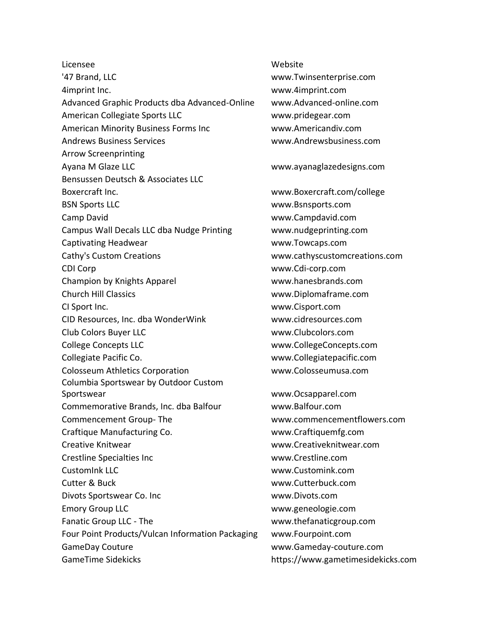Licensee Website '47 Brand, LLC www.Twinsenterprise.com 4imprint Inc. www.4imprint.com Advanced Graphic Products dba Advanced-Online www.Advanced-online.com American Collegiate Sports LLC www.pridegear.com American Minority Business Forms Inc www.Americandiv.com Andrews Business Services www.Andrewsbusiness.com Arrow Screenprinting Ayana M Glaze LLC www.ayanaglazedesigns.com Bensussen Deutsch & Associates LLC Boxercraft Inc. www.Boxercraft.com/college BSN Sports LLC www.Bsnsports.com Camp David www.Campdavid.com Campus Wall Decals LLC dba Nudge Printing www.nudgeprinting.com Captivating Headwear www.Towcaps.com Cathy's Custom Creations www.cathyscustomcreations.com CDI Corp www.Cdi-corp.com Champion by Knights Apparel www.hanesbrands.com Church Hill Classics www.Diplomaframe.com CI Sport Inc. www.Cisport.com CID Resources, Inc. dba WonderWink www.cidresources.com Club Colors Buyer LLC www.Clubcolors.com College Concepts LLC www.CollegeConcepts.com Collegiate Pacific Co. www.Collegiatepacific.com Colosseum Athletics Corporation www.Colosseumusa.com Columbia Sportswear by Outdoor Custom Sportswear www.Ocsapparel.com Commemorative Brands, Inc. dba Balfour www.Balfour.com Commencement Group- The www.commencementflowers.com Craftique Manufacturing Co. www.Craftiquemfg.com Creative Knitwear www.Creativeknitwear.com Crestline Specialties Inc www.Crestline.com CustomInk LLC www.Customink.com Cutter & Buck www.Cutterbuck.com Divots Sportswear Co. Inc www.Divots.com Emory Group LLC www.geneologie.com Fanatic Group LLC - The www.thefanaticgroup.com Four Point Products/Vulcan Information Packaging www.Fourpoint.com GameDay Couture www.Gameday-couture.com GameTime Sidekicks https://www.gametimesidekicks.com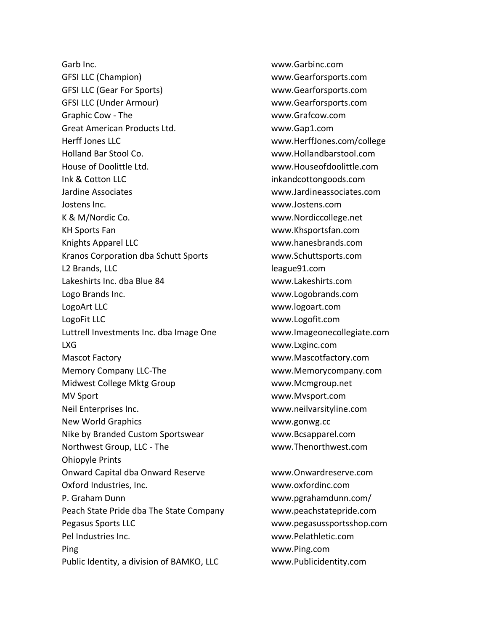Garb Inc. www.Garbinc.com GFSI LLC (Champion) www.Gearforsports.com GFSI LLC (Gear For Sports) www.Gearforsports.com GFSI LLC (Under Armour) www.Gearforsports.com Graphic Cow - The www.Grafcow.com Great American Products Ltd. www.Gap1.com Herff Jones LLC www.HerffJones.com/college Holland Bar Stool Co. www.Hollandbarstool.com House of Doolittle Ltd. www.Houseofdoolittle.com Ink & Cotton LLC inkandcottongoods.com Jardine Associates www.Jardineassociates.com Jostens Inc. www.Jostens.com K & M/Nordic Co. www.Nordiccollege.net KH Sports Fan www.Khsportsfan.com Knights Apparel LLC www.hanesbrands.com Kranos Corporation dba Schutt Sports www.Schuttsports.com L2 Brands, LLC league91.com Lakeshirts Inc. dba Blue 84 www.Lakeshirts.com Logo Brands Inc. www.Logobrands.com LogoArt LLC www.logoart.com LogoFit LLC www.Logofit.com Luttrell Investments Inc. dba Image One www.Imageonecollegiate.com LXG www.Lxginc.com Mascot Factory www.Mascotfactory.com Memory Company LLC-The www.Memorycompany.com Midwest College Mktg Group www.Mcmgroup.net MV Sport www.Mvsport.com Neil Enterprises Inc. www.neilvarsityline.com New World Graphics www.gonwg.cc Nike by Branded Custom Sportswear www.Bcsapparel.com Northwest Group, LLC - The www.Thenorthwest.com Ohiopyle Prints Onward Capital dba Onward Reserve www.Onwardreserve.com Oxford Industries, Inc. www.oxfordinc.com P. Graham Dunn www.pgrahamdunn.com/ Peach State Pride dba The State Company www.peachstatepride.com Pegasus Sports LLC www.pegasussportsshop.com Pel Industries Inc. www.Pelathletic.com Ping www.Ping.com Public Identity, a division of BAMKO, LLC www.Publicidentity.com